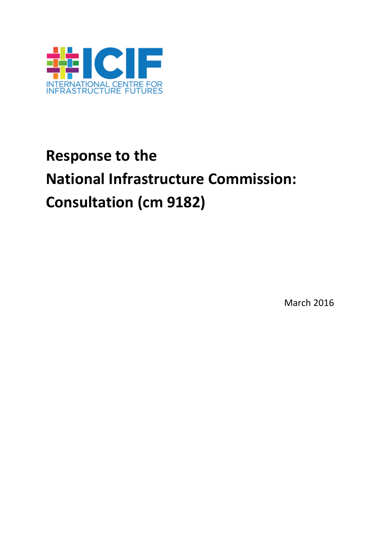

# **Response to the National Infrastructure Commission: Consultation (cm 9182)**

March 2016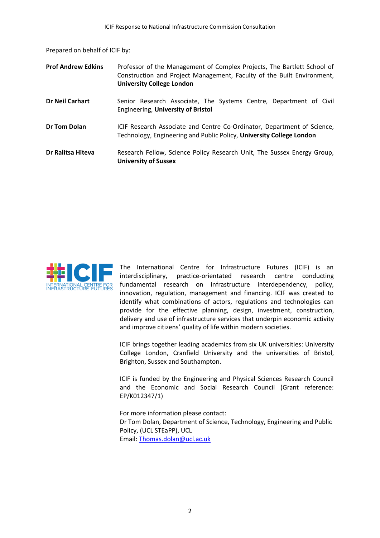Prepared on behalf of ICIF by:

| <b>Prof Andrew Edkins</b> | Professor of the Management of Complex Projects, The Bartlett School of<br>Construction and Project Management, Faculty of the Built Environment,<br><b>University College London</b> |
|---------------------------|---------------------------------------------------------------------------------------------------------------------------------------------------------------------------------------|
| <b>Dr Neil Carhart</b>    | Senior Research Associate, The Systems Centre, Department of Civil<br>Engineering, University of Bristol                                                                              |
| <b>Dr Tom Dolan</b>       | ICIF Research Associate and Centre Co-Ordinator, Department of Science,<br>Technology, Engineering and Public Policy, University College London                                       |
| Dr Ralitsa Hiteva         | Research Fellow, Science Policy Research Unit, The Sussex Energy Group,<br><b>University of Sussex</b>                                                                                |



The International Centre for Infrastructure Futures (ICIF) is an interdisciplinary, practice-orientated research centre conducting fundamental research on infrastructure interdependency, policy, innovation, regulation, management and financing. ICIF was created to identify what combinations of actors, regulations and technologies can provide for the effective planning, design, investment, construction, delivery and use of infrastructure services that underpin economic activity and improve citizens' quality of life within modern societies.

ICIF brings together leading academics from six UK universities: University College London, Cranfield University and the universities of Bristol, Brighton, Sussex and Southampton.

ICIF is funded by the Engineering and Physical Sciences Research Council and the Economic and Social Research Council (Grant reference: EP/K012347/1)

For more information please contact: Dr Tom Dolan, Department of Science, Technology, Engineering and Public Policy, (UCL STEaPP), UCL Email[: Thomas.dolan@ucl.ac.uk](mailto:Thomas.dolan@ucl.ac.uk)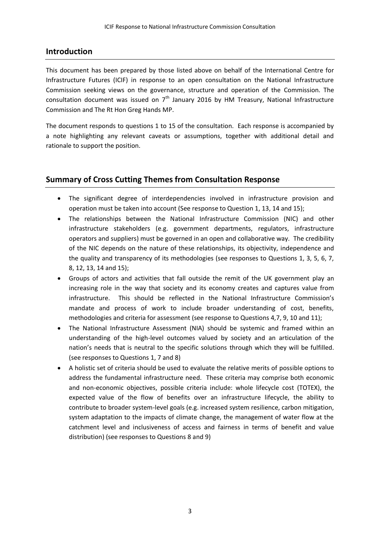## **Introduction**

This document has been prepared by those listed above on behalf of the International Centre for Infrastructure Futures (ICIF) in response to an open consultation on the National Infrastructure Commission seeking views on the governance, structure and operation of the Commission. The consultation document was issued on  $7<sup>th</sup>$  January 2016 by HM Treasury, National Infrastructure Commission and The Rt Hon Greg Hands MP.

The document responds to questions 1 to 15 of the consultation. Each response is accompanied by a note highlighting any relevant caveats or assumptions, together with additional detail and rationale to support the position.

## **Summary of Cross Cutting Themes from Consultation Response**

- The significant degree of interdependencies involved in infrastructure provision and operation must be taken into account (See response to Question 1, 13, 14 and 15);
- The relationships between the National Infrastructure Commission (NIC) and other infrastructure stakeholders (e.g. government departments, regulators, infrastructure operators and suppliers) must be governed in an open and collaborative way. The credibility of the NIC depends on the nature of these relationships, its objectivity, independence and the quality and transparency of its methodologies (see responses to Questions 1, 3, 5, 6, 7, 8, 12, 13, 14 and 15);
- Groups of actors and activities that fall outside the remit of the UK government play an increasing role in the way that society and its economy creates and captures value from infrastructure. This should be reflected in the National Infrastructure Commission's mandate and process of work to include broader understanding of cost, benefits, methodologies and criteria for assessment (see response to Questions 4,7, 9, 10 and 11);
- The National Infrastructure Assessment (NIA) should be systemic and framed within an understanding of the high-level outcomes valued by society and an articulation of the nation's needs that is neutral to the specific solutions through which they will be fulfilled. (see responses to Questions 1, 7 and 8)
- A holistic set of criteria should be used to evaluate the relative merits of possible options to address the fundamental infrastructure need. These criteria may comprise both economic and non-economic objectives, possible criteria include: whole lifecycle cost (TOTEX), the expected value of the flow of benefits over an infrastructure lifecycle, the ability to contribute to broader system-level goals (e.g. increased system resilience, carbon mitigation, system adaptation to the impacts of climate change, the management of water flow at the catchment level and inclusiveness of access and fairness in terms of benefit and value distribution) (see responses to Questions 8 and 9)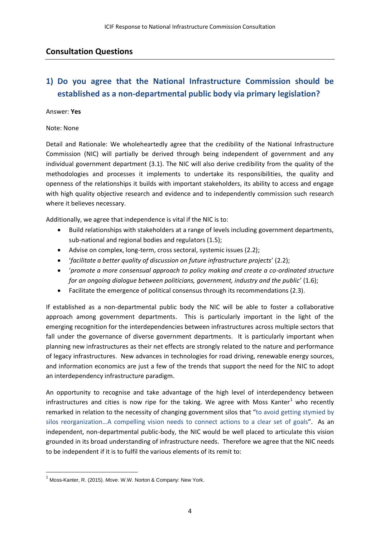### **Consultation Questions**

# **1) Do you agree that the National Infrastructure Commission should be established as a non-departmental public body via primary legislation?**

### Answer: **Yes**

### Note: None

Detail and Rationale: We wholeheartedly agree that the credibility of the National Infrastructure Commission (NIC) will partially be derived through being independent of government and any individual government department (3.1). The NIC will also derive credibility from the quality of the methodologies and processes it implements to undertake its responsibilities, the quality and openness of the relationships it builds with important stakeholders, its ability to access and engage with high quality objective research and evidence and to independently commission such research where it believes necessary.

Additionally, we agree that independence is vital if the NIC is to:

- Build relationships with stakeholders at a range of levels including government departments, sub-national and regional bodies and regulators (1.5);
- Advise on complex, long-term, cross sectoral, systemic issues (2.2);
- '*facilitate a better quality of discussion on future infrastructure projects*' (2.2);
- '*promote a more consensual approach to policy making and create a co-ordinated structure for an ongoing dialogue between politicians, government, industry and the public*' (1.6);
- Facilitate the emergence of political consensus through its recommendations (2.3).

If established as a non-departmental public body the NIC will be able to foster a collaborative approach among government departments. This is particularly important in the light of the emerging recognition for the interdependencies between infrastructures across multiple sectors that fall under the governance of diverse government departments. It is particularly important when planning new infrastructures as their net effects are strongly related to the nature and performance of legacy infrastructures. New advances in technologies for road driving, renewable energy sources, and information economics are just a few of the trends that support the need for the NIC to adopt an interdependency infrastructure paradigm.

An opportunity to recognise and take advantage of the high level of interdependency between infrastructures and cities is now ripe for the taking. We agree with Moss Kanter<sup>1</sup> who recently remarked in relation to the necessity of changing government silos that "to avoid getting stymied by silos reorganization…A compelling vision needs to connect actions to a clear set of goals". As an independent, non-departmental public-body, the NIC would be well placed to articulate this vision grounded in its broad understanding of infrastructure needs. Therefore we agree that the NIC needs to be independent if it is to fulfil the various elements of its remit to:

1

<sup>1</sup> Moss-Kanter, R. (2015). *Move*. W.W. Norton & Company: New York.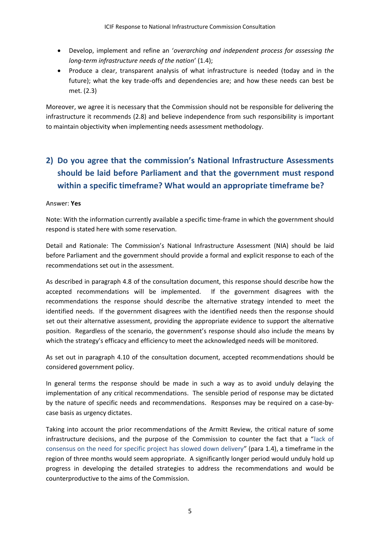- Develop, implement and refine an '*overarching and independent process for assessing the long-term infrastructure needs of the nation*' (1.4);
- Produce a clear, transparent analysis of what infrastructure is needed (today and in the future); what the key trade-offs and dependencies are; and how these needs can best be met. (2.3)

Moreover, we agree it is necessary that the Commission should not be responsible for delivering the infrastructure it recommends (2.8) and believe independence from such responsibility is important to maintain objectivity when implementing needs assessment methodology.

# **2) Do you agree that the commission's National Infrastructure Assessments should be laid before Parliament and that the government must respond within a specific timeframe? What would an appropriate timeframe be?**

### Answer: **Yes**

Note: With the information currently available a specific time-frame in which the government should respond is stated here with some reservation.

Detail and Rationale: The Commission's National Infrastructure Assessment (NIA) should be laid before Parliament and the government should provide a formal and explicit response to each of the recommendations set out in the assessment.

As described in paragraph 4.8 of the consultation document, this response should describe how the accepted recommendations will be implemented. If the government disagrees with the recommendations the response should describe the alternative strategy intended to meet the identified needs. If the government disagrees with the identified needs then the response should set out their alternative assessment, providing the appropriate evidence to support the alternative position. Regardless of the scenario, the government's response should also include the means by which the strategy's efficacy and efficiency to meet the acknowledged needs will be monitored.

As set out in paragraph 4.10 of the consultation document, accepted recommendations should be considered government policy.

In general terms the response should be made in such a way as to avoid unduly delaying the implementation of any critical recommendations. The sensible period of response may be dictated by the nature of specific needs and recommendations. Responses may be required on a case-bycase basis as urgency dictates.

Taking into account the prior recommendations of the Armitt Review, the critical nature of some infrastructure decisions, and the purpose of the Commission to counter the fact that a "lack of consensus on the need for specific project has slowed down delivery" (para 1.4), a timeframe in the region of three months would seem appropriate. A significantly longer period would unduly hold up progress in developing the detailed strategies to address the recommendations and would be counterproductive to the aims of the Commission.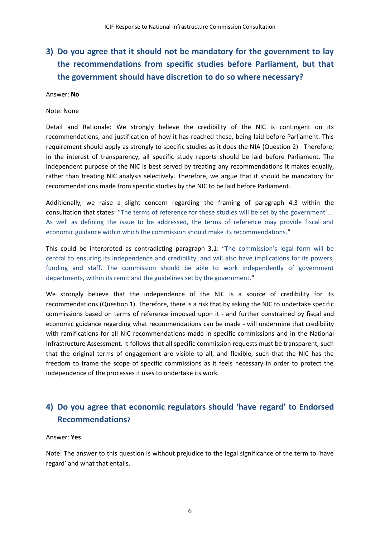# **3) Do you agree that it should not be mandatory for the government to lay the recommendations from specific studies before Parliament, but that the government should have discretion to do so where necessary?**

### Answer: **No**

### Note: None

Detail and Rationale: We strongly believe the credibility of the NIC is contingent on its recommendations, and justification of how it has reached these, being laid before Parliament. This requirement should apply as strongly to specific studies as it does the NIA (Question 2). Therefore, in the interest of transparency, all specific study reports should be laid before Parliament. The independent purpose of the NIC is best served by treating any recommendations it makes equally, rather than treating NIC analysis selectively. Therefore, we argue that it should be mandatory for recommendations made from specific studies by the NIC to be laid before Parliament.

Additionally, we raise a slight concern regarding the framing of paragraph 4.3 within the consultation that states: "The terms of reference for these studies will be set by the government'…. As well as defining the issue to be addressed, the terms of reference may provide fiscal and economic guidance within which the commission should make its recommendations."

This could be interpreted as contradicting paragraph 3.1: "The commission's legal form will be central to ensuring its independence and credibility, and will also have implications for its powers, funding and staff. The commission should be able to work independently of government departments, within its remit and the guidelines set by the government."

We strongly believe that the independence of the NIC is a source of credibility for its recommendations (Question 1). Therefore, there is a risk that by asking the NIC to undertake specific commissions based on terms of reference imposed upon it - and further constrained by fiscal and economic guidance regarding what recommendations can be made - will undermine that credibility with ramifications for all NIC recommendations made in specific commissions and in the National Infrastructure Assessment. It follows that all specific commission requests must be transparent, such that the original terms of engagement are visible to all, and flexible, such that the NIC has the freedom to frame the scope of specific commissions as it feels necessary in order to protect the independence of the processes it uses to undertake its work.

# **4) Do you agree that economic regulators should 'have regard' to Endorsed Recommendations?**

### Answer: **Yes**

Note: The answer to this question is without prejudice to the legal significance of the term to 'have regard' and what that entails.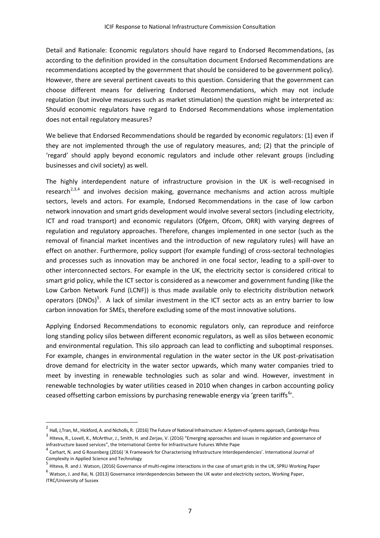Detail and Rationale: Economic regulators should have regard to Endorsed Recommendations, (as according to the definition provided in the consultation document Endorsed Recommendations are recommendations accepted by the government that should be considered to be government policy). However, there are several pertinent caveats to this question. Considering that the government can choose different means for delivering Endorsed Recommendations, which may not include regulation (but involve measures such as market stimulation) the question might be interpreted as: Should economic regulators have regard to Endorsed Recommendations whose implementation does not entail regulatory measures?

We believe that Endorsed Recommendations should be regarded by economic regulators: (1) even if they are not implemented through the use of regulatory measures, and; (2) that the principle of 'regard' should apply beyond economic regulators and include other relevant groups (including businesses and civil society) as well.

The highly interdependent nature of infrastructure provision in the UK is well-recognised in research<sup>2,3,4</sup> and involves decision making, governance mechanisms and action across multiple sectors, levels and actors. For example, Endorsed Recommendations in the case of low carbon network innovation and smart grids development would involve several sectors (including electricity, ICT and road transport) and economic regulators (Ofgem, Ofcom, ORR) with varying degrees of regulation and regulatory approaches. Therefore, changes implemented in one sector (such as the removal of financial market incentives and the introduction of new regulatory rules) will have an effect on another. Furthermore, policy support (for example funding) of cross-sectoral technologies and processes such as innovation may be anchored in one focal sector, leading to a spill-over to other interconnected sectors. For example in the UK, the electricity sector is considered critical to smart grid policy, while the ICT sector is considered as a newcomer and government funding (like the Low Carbon Network Fund (LCNF)) is thus made available only to electricity distribution network operators (DNOs)<sup>5</sup>. A lack of similar investment in the ICT sector acts as an entry barrier to low carbon innovation for SMEs, therefore excluding some of the most innovative solutions.

Applying Endorsed Recommendations to economic regulators only, can reproduce and reinforce long standing policy silos between different economic regulators, as well as silos between economic and environmental regulation. This silo approach can lead to conflicting and suboptimal responses. For example, changes in environmental regulation in the water sector in the UK post-privatisation drove demand for electricity in the water sector upwards, which many water companies tried to meet by investing in renewable technologies such as solar and wind. However, investment in renewable technologies by water utilities ceased in 2010 when changes in carbon accounting policy ceased offsetting carbon emissions by purchasing renewable energy via 'green tariffs<sup>6</sup>'.

1

<sup>&</sup>lt;sup>2</sup> Hall, J,Tran, M., Hickford, A. and Nicholls, R. (2016) The Future of National Infrastructure: A System-of-systems approach, Cambridge Press <sup>3</sup> Hiteva, R., Lovell, K., McArthur, J., Smith, H. and Zerjav, V. (2016) "Emerging approaches and issues in regulation and governance of infrastructure based services", the International Centre for Infrastructure Futures White Pape

<sup>&</sup>lt;sup>4</sup> Carhart, N. and G Rosenberg (2016) 'A Framework for Characterising Infrastructure Interdependencies'. International Journal of Complexity in Applied Science and Technology

<sup>&</sup>lt;sup>5</sup> Hiteva, R. and J. Watson, (2016) Governance of multi-regime interactions in the case of smart grids in the UK, SPRU Working Paper

 $^6$  Watson, J. and Rai, N. (2013) Governance interdependencies between the UK water and electricity sectors, Working Paper, ITRC/University of Sussex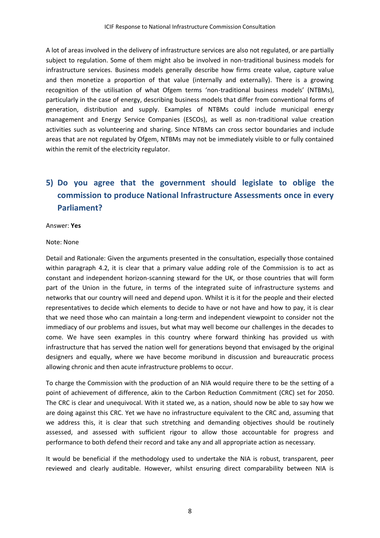A lot of areas involved in the delivery of infrastructure services are also not regulated, or are partially subject to regulation. Some of them might also be involved in non-traditional business models for infrastructure services. Business models generally describe how firms create value, capture value and then monetize a proportion of that value (internally and externally). There is a growing recognition of the utilisation of what Ofgem terms 'non-traditional business models' (NTBMs), particularly in the case of energy, describing business models that differ from conventional forms of generation, distribution and supply. Examples of NTBMs could include municipal energy management and Energy Service Companies (ESCOs), as well as non-traditional value creation activities such as volunteering and sharing. Since NTBMs can cross sector boundaries and include areas that are not regulated by Ofgem, NTBMs may not be immediately visible to or fully contained within the remit of the electricity regulator.

# **5) Do you agree that the government should legislate to oblige the commission to produce National Infrastructure Assessments once in every Parliament?**

Answer: **Yes**

Note: None

Detail and Rationale: Given the arguments presented in the consultation, especially those contained within paragraph 4.2, it is clear that a primary value adding role of the Commission is to act as constant and independent horizon-scanning steward for the UK, or those countries that will form part of the Union in the future, in terms of the integrated suite of infrastructure systems and networks that our country will need and depend upon. Whilst it is it for the people and their elected representatives to decide which elements to decide to have or not have and how to pay, it is clear that we need those who can maintain a long-term and independent viewpoint to consider not the immediacy of our problems and issues, but what may well become our challenges in the decades to come. We have seen examples in this country where forward thinking has provided us with infrastructure that has served the nation well for generations beyond that envisaged by the original designers and equally, where we have become moribund in discussion and bureaucratic process allowing chronic and then acute infrastructure problems to occur.

To charge the Commission with the production of an NIA would require there to be the setting of a point of achievement of difference, akin to the Carbon Reduction Commitment (CRC) set for 2050. The CRC is clear and unequivocal. With it stated we, as a nation, should now be able to say how we are doing against this CRC. Yet we have no infrastructure equivalent to the CRC and, assuming that we address this, it is clear that such stretching and demanding objectives should be routinely assessed, and assessed with sufficient rigour to allow those accountable for progress and performance to both defend their record and take any and all appropriate action as necessary.

It would be beneficial if the methodology used to undertake the NIA is robust, transparent, peer reviewed and clearly auditable. However, whilst ensuring direct comparability between NIA is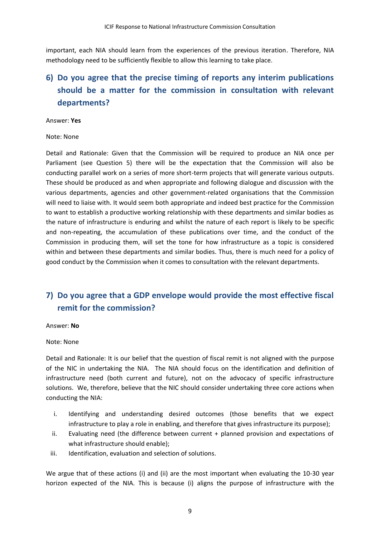important, each NIA should learn from the experiences of the previous iteration. Therefore, NIA methodology need to be sufficiently flexible to allow this learning to take place.

# **6) Do you agree that the precise timing of reports any interim publications should be a matter for the commission in consultation with relevant departments?**

### Answer: **Yes**

### Note: None

Detail and Rationale: Given that the Commission will be required to produce an NIA once per Parliament (see Question 5) there will be the expectation that the Commission will also be conducting parallel work on a series of more short-term projects that will generate various outputs. These should be produced as and when appropriate and following dialogue and discussion with the various departments, agencies and other government-related organisations that the Commission will need to liaise with. It would seem both appropriate and indeed best practice for the Commission to want to establish a productive working relationship with these departments and similar bodies as the nature of infrastructure is enduring and whilst the nature of each report is likely to be specific and non-repeating, the accumulation of these publications over time, and the conduct of the Commission in producing them, will set the tone for how infrastructure as a topic is considered within and between these departments and similar bodies. Thus, there is much need for a policy of good conduct by the Commission when it comes to consultation with the relevant departments.

# **7) Do you agree that a GDP envelope would provide the most effective fiscal remit for the commission?**

### Answer: **No**

Note: None

Detail and Rationale: It is our belief that the question of fiscal remit is not aligned with the purpose of the NIC in undertaking the NIA. The NIA should focus on the identification and definition of infrastructure need (both current and future), not on the advocacy of specific infrastructure solutions. We, therefore, believe that the NIC should consider undertaking three core actions when conducting the NIA:

- i. Identifying and understanding desired outcomes (those benefits that we expect infrastructure to play a role in enabling, and therefore that gives infrastructure its purpose);
- ii. Evaluating need (the difference between current + planned provision and expectations of what infrastructure should enable);
- iii. Identification, evaluation and selection of solutions.

We argue that of these actions (i) and (ii) are the most important when evaluating the 10-30 year horizon expected of the NIA. This is because (i) aligns the purpose of infrastructure with the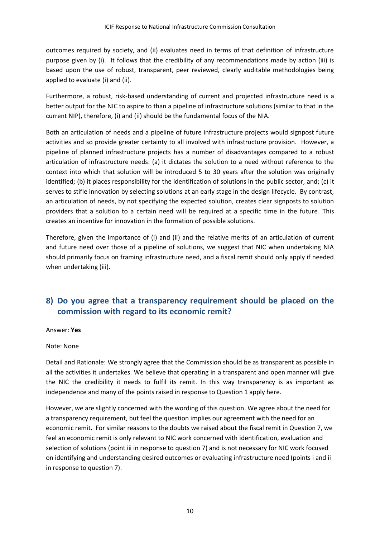outcomes required by society, and (ii) evaluates need in terms of that definition of infrastructure purpose given by (i). It follows that the credibility of any recommendations made by action (iii) is based upon the use of robust, transparent, peer reviewed, clearly auditable methodologies being applied to evaluate (i) and (ii).

Furthermore, a robust, risk-based understanding of current and projected infrastructure need is a better output for the NIC to aspire to than a pipeline of infrastructure solutions (similar to that in the current NIP), therefore, (i) and (ii) should be the fundamental focus of the NIA.

Both an articulation of needs and a pipeline of future infrastructure projects would signpost future activities and so provide greater certainty to all involved with infrastructure provision. However, a pipeline of planned infrastructure projects has a number of disadvantages compared to a robust articulation of infrastructure needs: (a) it dictates the solution to a need without reference to the context into which that solution will be introduced 5 to 30 years after the solution was originally identified; (b) it places responsibility for the identification of solutions in the public sector, and; (c) it serves to stifle innovation by selecting solutions at an early stage in the design lifecycle. By contrast, an articulation of needs, by not specifying the expected solution, creates clear signposts to solution providers that a solution to a certain need will be required at a specific time in the future. This creates an incentive for innovation in the formation of possible solutions.

Therefore, given the importance of (i) and (ii) and the relative merits of an articulation of current and future need over those of a pipeline of solutions, we suggest that NIC when undertaking NIA should primarily focus on framing infrastructure need, and a fiscal remit should only apply if needed when undertaking (iii).

# **8) Do you agree that a transparency requirement should be placed on the commission with regard to its economic remit?**

Answer: **Yes**

### Note: None

Detail and Rationale: We strongly agree that the Commission should be as transparent as possible in all the activities it undertakes. We believe that operating in a transparent and open manner will give the NIC the credibility it needs to fulfil its remit. In this way transparency is as important as independence and many of the points raised in response to Question 1 apply here.

However, we are slightly concerned with the wording of this question. We agree about the need for a transparency requirement, but feel the question implies our agreement with the need for an economic remit. For similar reasons to the doubts we raised about the fiscal remit in Question 7, we feel an economic remit is only relevant to NIC work concerned with identification, evaluation and selection of solutions (point iii in response to question 7) and is not necessary for NIC work focused on identifying and understanding desired outcomes or evaluating infrastructure need (points i and ii in response to question 7).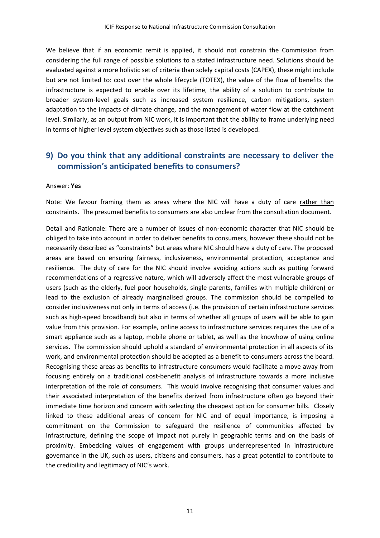We believe that if an economic remit is applied, it should not constrain the Commission from considering the full range of possible solutions to a stated infrastructure need. Solutions should be evaluated against a more holistic set of criteria than solely capital costs (CAPEX), these might include but are not limited to: cost over the whole lifecycle (TOTEX), the value of the flow of benefits the infrastructure is expected to enable over its lifetime, the ability of a solution to contribute to broader system-level goals such as increased system resilience, carbon mitigations, system adaptation to the impacts of climate change, and the management of water flow at the catchment level. Similarly, as an output from NIC work, it is important that the ability to frame underlying need in terms of higher level system objectives such as those listed is developed.

# **9) Do you think that any additional constraints are necessary to deliver the commission's anticipated benefits to consumers?**

#### Answer: **Yes**

Note: We favour framing them as areas where the NIC will have a duty of care rather than constraints. The presumed benefits to consumers are also unclear from the consultation document.

Detail and Rationale: There are a number of issues of non-economic character that NIC should be obliged to take into account in order to deliver benefits to consumers, however these should not be necessarily described as "constraints" but areas where NIC should have a duty of care. The proposed areas are based on ensuring fairness, inclusiveness, environmental protection, acceptance and resilience. The duty of care for the NIC should involve avoiding actions such as putting forward recommendations of a regressive nature, which will adversely affect the most vulnerable groups of users (such as the elderly, fuel poor households, single parents, families with multiple children) or lead to the exclusion of already marginalised groups. The commission should be compelled to consider inclusiveness not only in terms of access (i.e. the provision of certain infrastructure services such as high-speed broadband) but also in terms of whether all groups of users will be able to gain value from this provision. For example, online access to infrastructure services requires the use of a smart appliance such as a laptop, mobile phone or tablet, as well as the knowhow of using online services. The commission should uphold a standard of environmental protection in all aspects of its work, and environmental protection should be adopted as a benefit to consumers across the board. Recognising these areas as benefits to infrastructure consumers would facilitate a move away from focusing entirely on a traditional cost-benefit analysis of infrastructure towards a more inclusive interpretation of the role of consumers. This would involve recognising that consumer values and their associated interpretation of the benefits derived from infrastructure often go beyond their immediate time horizon and concern with selecting the cheapest option for consumer bills. Closely linked to these additional areas of concern for NIC and of equal importance, is imposing a commitment on the Commission to safeguard the resilience of communities affected by infrastructure, defining the scope of impact not purely in geographic terms and on the basis of proximity. Embedding values of engagement with groups underrepresented in infrastructure governance in the UK, such as users, citizens and consumers, has a great potential to contribute to the credibility and legitimacy of NIC's work.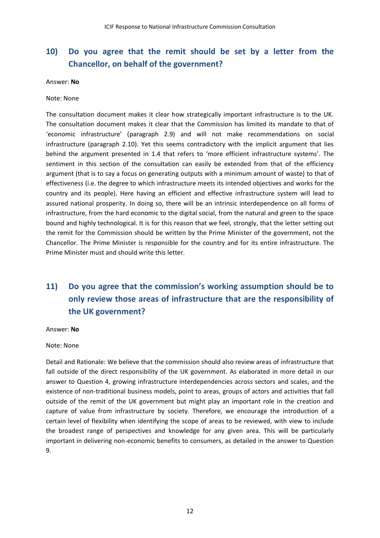# **10) Do you agree that the remit should be set by a letter from the Chancellor, on behalf of the government?**

Answer: **No**

### Note: None

The consultation document makes it clear how strategically important infrastructure is to the UK. The consultation document makes it clear that the Commission has limited its mandate to that of 'economic infrastructure' (paragraph 2.9) and will not make recommendations on social infrastructure (paragraph 2.10). Yet this seems contradictory with the implicit argument that lies behind the argument presented in 1.4 that refers to 'more efficient infrastructure systems'. The sentiment in this section of the consultation can easily be extended from that of the efficiency argument (that is to say a focus on generating outputs with a minimum amount of waste) to that of effectiveness (i.e. the degree to which infrastructure meets its intended objectives and works for the country and its people). Here having an efficient and effective infrastructure system will lead to assured national prosperity. In doing so, there will be an intrinsic interdependence on all forms of infrastructure, from the hard economic to the digital social, from the natural and green to the space bound and highly technological. It is for this reason that we feel, strongly, that the letter setting out the remit for the Commission should be written by the Prime Minister of the government, not the Chancellor. The Prime Minister is responsible for the country and for its entire infrastructure. The Prime Minister must and should write this letter.

# **11) Do you agree that the commission's working assumption should be to only review those areas of infrastructure that are the responsibility of the UK government?**

### Answer: **No**

### Note: None

Detail and Rationale: We believe that the commission should also review areas of infrastructure that fall outside of the direct responsibility of the UK government. As elaborated in more detail in our answer to Question 4, growing infrastructure interdependencies across sectors and scales, and the existence of non-traditional business models, point to areas, groups of actors and activities that fall outside of the remit of the UK government but might play an important role in the creation and capture of value from infrastructure by society. Therefore, we encourage the introduction of a certain level of flexibility when identifying the scope of areas to be reviewed, with view to include the broadest range of perspectives and knowledge for any given area. This will be particularly important in delivering non-economic benefits to consumers, as detailed in the answer to Question 9.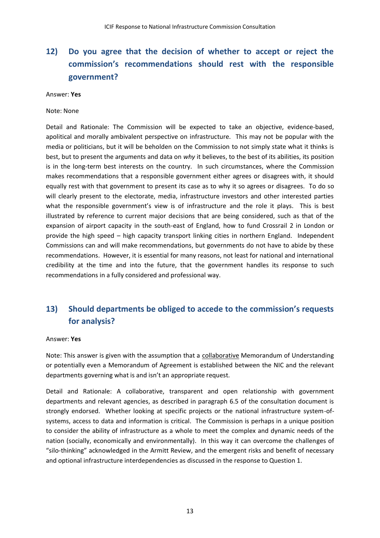# **12) Do you agree that the decision of whether to accept or reject the commission's recommendations should rest with the responsible government?**

#### Answer: **Yes**

### Note: None

Detail and Rationale: The Commission will be expected to take an objective, evidence-based, apolitical and morally ambivalent perspective on infrastructure. This may not be popular with the media or politicians, but it will be beholden on the Commission to not simply state what it thinks is best, but to present the arguments and data on *why* it believes, to the best of its abilities, its position is in the long-term best interests on the country. In such circumstances, where the Commission makes recommendations that a responsible government either agrees or disagrees with, it should equally rest with that government to present its case as to why it so agrees or disagrees. To do so will clearly present to the electorate, media, infrastructure investors and other interested parties what the responsible government's view is of infrastructure and the role it plays. This is best illustrated by reference to current major decisions that are being considered, such as that of the expansion of airport capacity in the south-east of England, how to fund Crossrail 2 in London or provide the high speed – high capacity transport linking cities in northern England. Independent Commissions can and will make recommendations, but governments do not have to abide by these recommendations. However, it is essential for many reasons, not least for national and international credibility at the time and into the future, that the government handles its response to such recommendations in a fully considered and professional way.

# **13) Should departments be obliged to accede to the commission's requests for analysis?**

#### Answer: **Yes**

Note: This answer is given with the assumption that a collaborative Memorandum of Understanding or potentially even a Memorandum of Agreement is established between the NIC and the relevant departments governing what is and isn't an appropriate request.

Detail and Rationale: A collaborative, transparent and open relationship with government departments and relevant agencies, as described in paragraph 6.5 of the consultation document is strongly endorsed. Whether looking at specific projects or the national infrastructure system-ofsystems, access to data and information is critical. The Commission is perhaps in a unique position to consider the ability of infrastructure as a whole to meet the complex and dynamic needs of the nation (socially, economically and environmentally). In this way it can overcome the challenges of "silo-thinking" acknowledged in the Armitt Review, and the emergent risks and benefit of necessary and optional infrastructure interdependencies as discussed in the response to Question 1.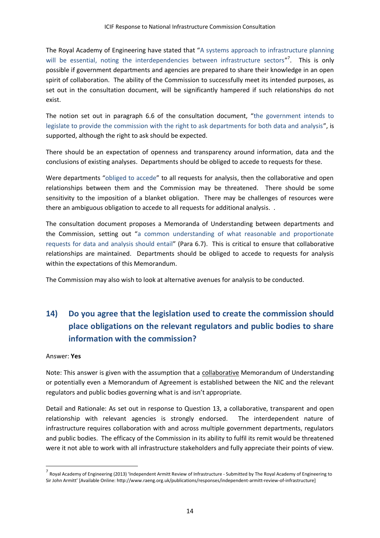The Royal Academy of Engineering have stated that "A systems approach to infrastructure planning will be essential, noting the interdependencies between infrastructure sectors"<sup>7</sup>. This is only possible if government departments and agencies are prepared to share their knowledge in an open spirit of collaboration. The ability of the Commission to successfully meet its intended purposes, as set out in the consultation document, will be significantly hampered if such relationships do not exist.

The notion set out in paragraph 6.6 of the consultation document, "the government intends to legislate to provide the commission with the right to ask departments for both data and analysis", is supported, although the right to ask should be expected.

There should be an expectation of openness and transparency around information, data and the conclusions of existing analyses. Departments should be obliged to accede to requests for these.

Were departments "obliged to accede" to all requests for analysis, then the collaborative and open relationships between them and the Commission may be threatened. There should be some sensitivity to the imposition of a blanket obligation. There may be challenges of resources were there an ambiguous obligation to accede to all requests for additional analysis. .

The consultation document proposes a Memoranda of Understanding between departments and the Commission, setting out "a common understanding of what reasonable and proportionate requests for data and analysis should entail" (Para 6.7). This is critical to ensure that collaborative relationships are maintained. Departments should be obliged to accede to requests for analysis within the expectations of this Memorandum.

The Commission may also wish to look at alternative avenues for analysis to be conducted.

# **14) Do you agree that the legislation used to create the commission should place obligations on the relevant regulators and public bodies to share information with the commission?**

### Answer: **Yes**

1

Note: This answer is given with the assumption that a collaborative Memorandum of Understanding or potentially even a Memorandum of Agreement is established between the NIC and the relevant regulators and public bodies governing what is and isn't appropriate.

Detail and Rationale: As set out in response to Question 13, a collaborative, transparent and open relationship with relevant agencies is strongly endorsed. The interdependent nature of infrastructure requires collaboration with and across multiple government departments, regulators and public bodies. The efficacy of the Commission in its ability to fulfil its remit would be threatened were it not able to work with all infrastructure stakeholders and fully appreciate their points of view.

<sup>&</sup>lt;sup>7</sup> Royal Academy of Engineering (2013) 'Independent Armitt Review of Infrastructure - Submitted by The Royal Academy of Engineering to Sir John Armitt' [Available Online: http://www.raeng.org.uk/publications/responses/independent-armitt-review-of-infrastructure]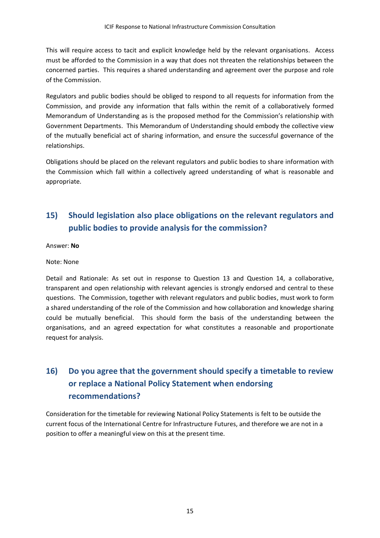This will require access to tacit and explicit knowledge held by the relevant organisations. Access must be afforded to the Commission in a way that does not threaten the relationships between the concerned parties. This requires a shared understanding and agreement over the purpose and role of the Commission.

Regulators and public bodies should be obliged to respond to all requests for information from the Commission, and provide any information that falls within the remit of a collaboratively formed Memorandum of Understanding as is the proposed method for the Commission's relationship with Government Departments. This Memorandum of Understanding should embody the collective view of the mutually beneficial act of sharing information, and ensure the successful governance of the relationships.

Obligations should be placed on the relevant regulators and public bodies to share information with the Commission which fall within a collectively agreed understanding of what is reasonable and appropriate.

# **15) Should legislation also place obligations on the relevant regulators and public bodies to provide analysis for the commission?**

Answer: **No**

Note: None

Detail and Rationale: As set out in response to Question 13 and Question 14, a collaborative, transparent and open relationship with relevant agencies is strongly endorsed and central to these questions. The Commission, together with relevant regulators and public bodies, must work to form a shared understanding of the role of the Commission and how collaboration and knowledge sharing could be mutually beneficial. This should form the basis of the understanding between the organisations, and an agreed expectation for what constitutes a reasonable and proportionate request for analysis.

# **16) Do you agree that the government should specify a timetable to review or replace a National Policy Statement when endorsing recommendations?**

Consideration for the timetable for reviewing National Policy Statements is felt to be outside the current focus of the International Centre for Infrastructure Futures, and therefore we are not in a position to offer a meaningful view on this at the present time.